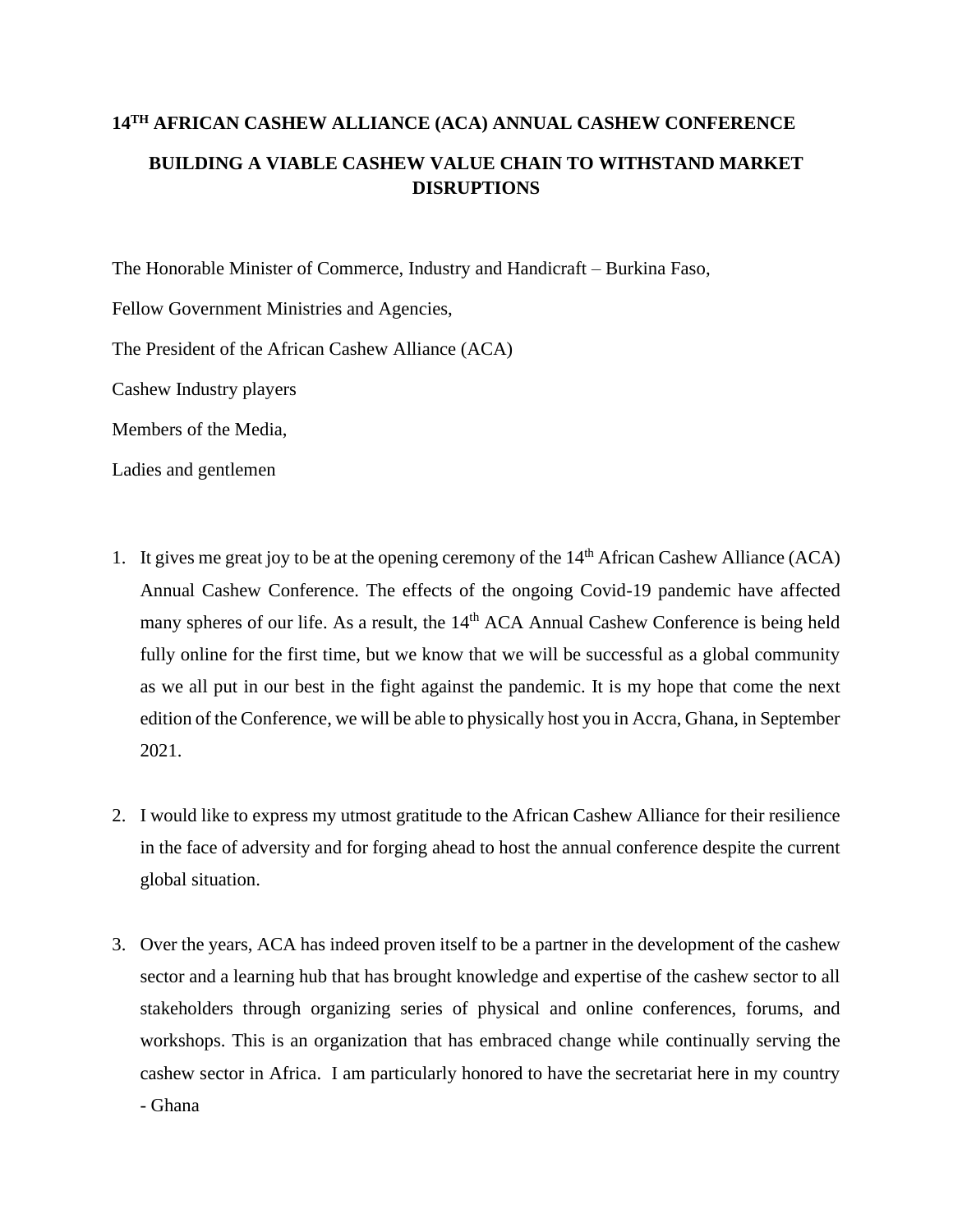## **14TH AFRICAN CASHEW ALLIANCE (ACA) ANNUAL CASHEW CONFERENCE BUILDING A VIABLE CASHEW VALUE CHAIN TO WITHSTAND MARKET DISRUPTIONS**

The Honorable Minister of Commerce, Industry and Handicraft – Burkina Faso,

Fellow Government Ministries and Agencies,

The President of the African Cashew Alliance (ACA)

Cashew Industry players

Members of the Media,

Ladies and gentlemen

- 1. It gives me great joy to be at the opening ceremony of the  $14<sup>th</sup>$  African Cashew Alliance (ACA) Annual Cashew Conference. The effects of the ongoing Covid-19 pandemic have affected many spheres of our life. As a result, the 14<sup>th</sup> ACA Annual Cashew Conference is being held fully online for the first time, but we know that we will be successful as a global community as we all put in our best in the fight against the pandemic. It is my hope that come the next edition of the Conference, we will be able to physically host you in Accra, Ghana, in September 2021.
- 2. I would like to express my utmost gratitude to the African Cashew Alliance for their resilience in the face of adversity and for forging ahead to host the annual conference despite the current global situation.
- 3. Over the years, ACA has indeed proven itself to be a partner in the development of the cashew sector and a learning hub that has brought knowledge and expertise of the cashew sector to all stakeholders through organizing series of physical and online conferences, forums, and workshops. This is an organization that has embraced change while continually serving the cashew sector in Africa. I am particularly honored to have the secretariat here in my country - Ghana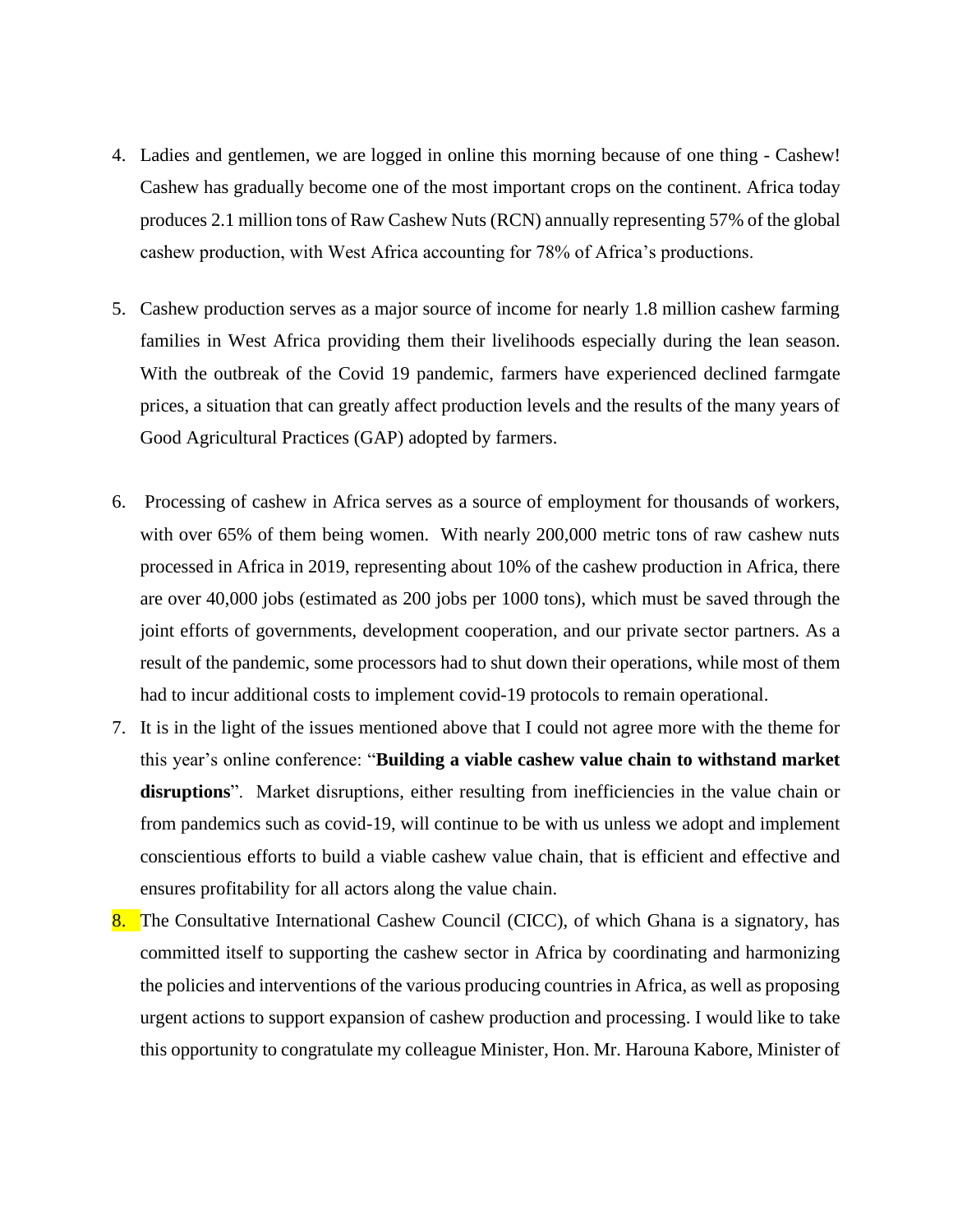- 4. Ladies and gentlemen, we are logged in online this morning because of one thing Cashew! Cashew has gradually become one of the most important crops on the continent. Africa today produces 2.1 million tons of Raw Cashew Nuts (RCN) annually representing 57% of the global cashew production, with West Africa accounting for 78% of Africa's productions.
- 5. Cashew production serves as a major source of income for nearly 1.8 million cashew farming families in West Africa providing them their livelihoods especially during the lean season. With the outbreak of the Covid 19 pandemic, farmers have experienced declined farmgate prices, a situation that can greatly affect production levels and the results of the many years of Good Agricultural Practices (GAP) adopted by farmers.
- 6. Processing of cashew in Africa serves as a source of employment for thousands of workers, with over 65% of them being women. With nearly 200,000 metric tons of raw cashew nuts processed in Africa in 2019, representing about 10% of the cashew production in Africa, there are over 40,000 jobs (estimated as 200 jobs per 1000 tons), which must be saved through the joint efforts of governments, development cooperation, and our private sector partners. As a result of the pandemic, some processors had to shut down their operations, while most of them had to incur additional costs to implement covid-19 protocols to remain operational.
- 7. It is in the light of the issues mentioned above that I could not agree more with the theme for this year's online conference: "**Building a viable cashew value chain to withstand market disruptions**". Market disruptions, either resulting from inefficiencies in the value chain or from pandemics such as covid-19, will continue to be with us unless we adopt and implement conscientious efforts to build a viable cashew value chain, that is efficient and effective and ensures profitability for all actors along the value chain.
- 8. The Consultative International Cashew Council (CICC), of which Ghana is a signatory, has committed itself to supporting the cashew sector in Africa by coordinating and harmonizing the policies and interventions of the various producing countries in Africa, as well as proposing urgent actions to support expansion of cashew production and processing. I would like to take this opportunity to congratulate my colleague Minister, Hon. Mr. Harouna Kabore, Minister of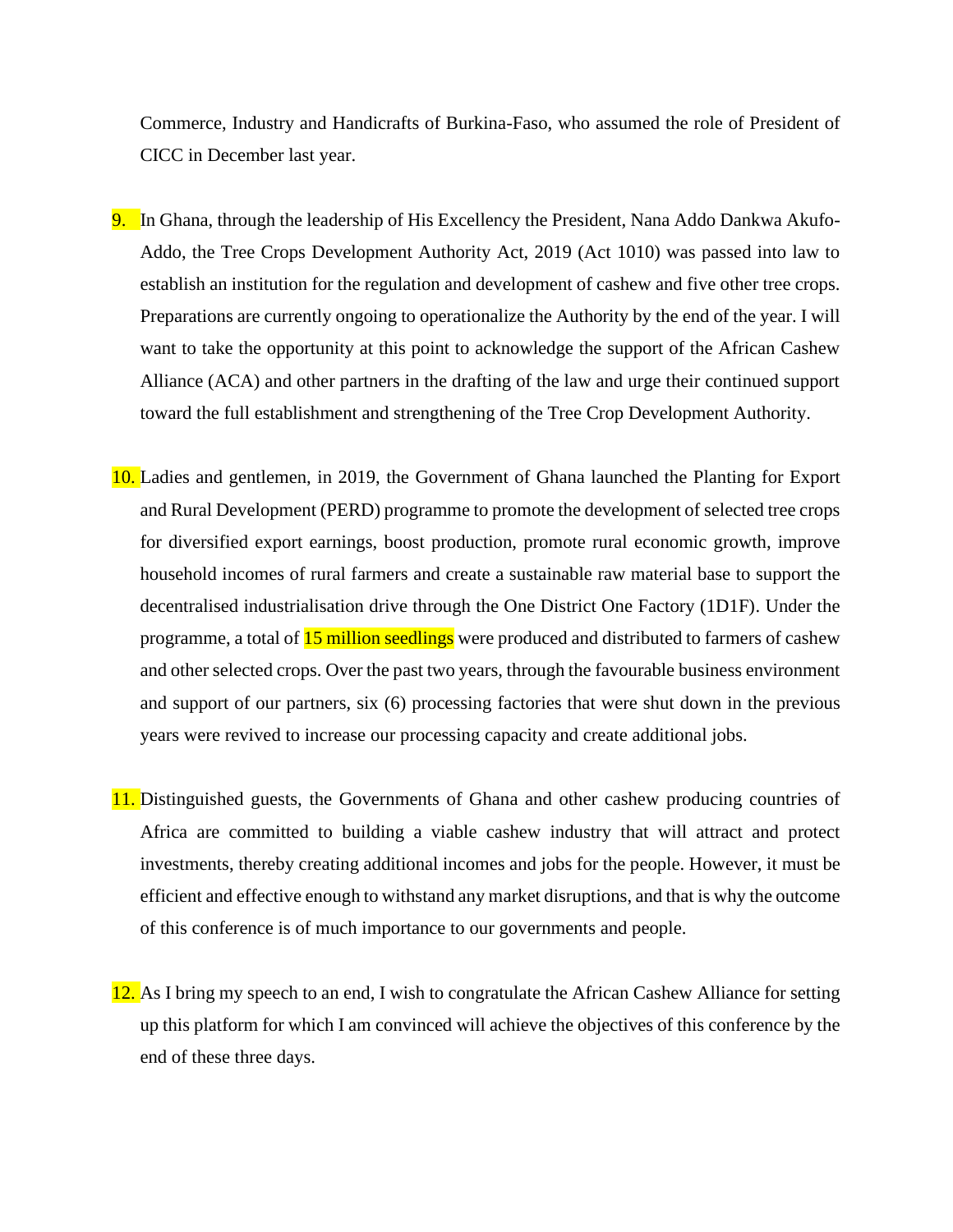Commerce, Industry and Handicrafts of Burkina-Faso, who assumed the role of President of CICC in December last year.

- 9. In Ghana, through the leadership of His Excellency the President, Nana Addo Dankwa Akufo-Addo, the Tree Crops Development Authority Act, 2019 (Act 1010) was passed into law to establish an institution for the regulation and development of cashew and five other tree crops. Preparations are currently ongoing to operationalize the Authority by the end of the year. I will want to take the opportunity at this point to acknowledge the support of the African Cashew Alliance (ACA) and other partners in the drafting of the law and urge their continued support toward the full establishment and strengthening of the Tree Crop Development Authority.
- 10. Ladies and gentlemen, in 2019, the Government of Ghana launched the Planting for Export and Rural Development (PERD) programme to promote the development of selected tree crops for diversified export earnings, boost production, promote rural economic growth, improve household incomes of rural farmers and create a sustainable raw material base to support the decentralised industrialisation drive through the One District One Factory (1D1F). Under the programme, a total of **15 million seedlings** were produced and distributed to farmers of cashew and other selected crops. Over the past two years, through the favourable business environment and support of our partners, six (6) processing factories that were shut down in the previous years were revived to increase our processing capacity and create additional jobs.
- 11. Distinguished guests, the Governments of Ghana and other cashew producing countries of Africa are committed to building a viable cashew industry that will attract and protect investments, thereby creating additional incomes and jobs for the people. However, it must be efficient and effective enough to withstand any market disruptions, and that is why the outcome of this conference is of much importance to our governments and people.
- 12. As I bring my speech to an end, I wish to congratulate the African Cashew Alliance for setting up this platform for which I am convinced will achieve the objectives of this conference by the end of these three days.